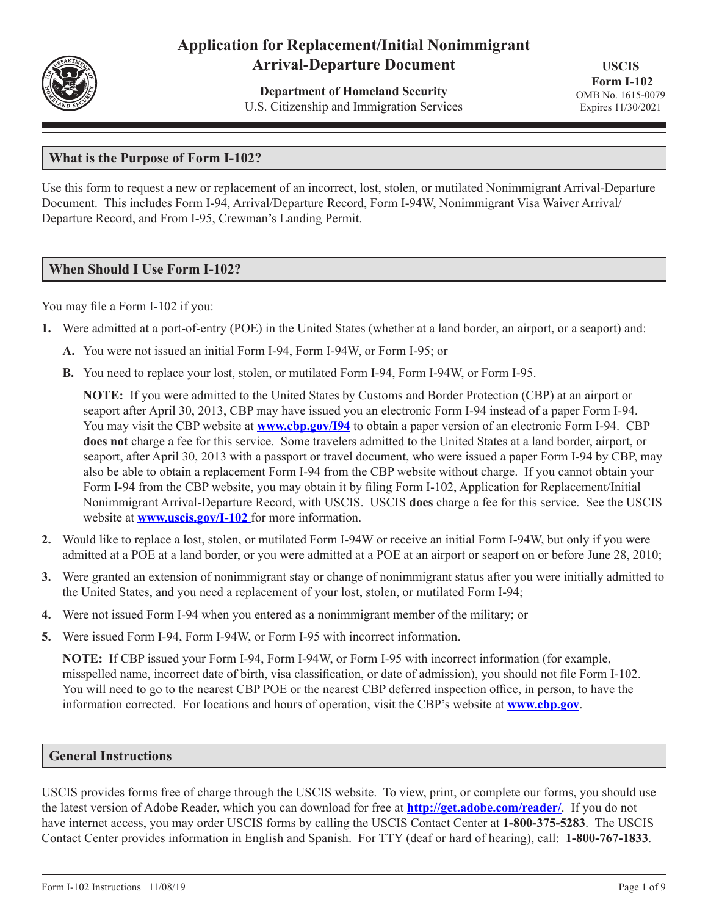

# **Application for Replacement/Initial Nonimmigrant Arrival-Departure Document**

**Department of Homeland Security** U.S. Citizenship and Immigration Services

**USCIS Form I-102** OMB No. 1615-0079 Expires 11/30/2021

# **What is the Purpose of Form I-102?**

Use this form to request a new or replacement of an incorrect, lost, stolen, or mutilated Nonimmigrant Arrival-Departure Document. This includes Form I-94, Arrival/Departure Record, Form I-94W, Nonimmigrant Visa Waiver Arrival/ Departure Record, and From I-95, Crewman's Landing Permit.

# **When Should I Use Form I-102?**

You may file a Form I-102 if you:

- **1.** Were admitted at a port-of-entry (POE) in the United States (whether at a land border, an airport, or a seaport) and:
	- **A.** You were not issued an initial Form I-94, Form I-94W, or Form I-95; or
	- **B.** You need to replace your lost, stolen, or mutilated Form I-94, Form I-94W, or Form I-95.

**NOTE:** If you were admitted to the United States by Customs and Border Protection (CBP) at an airport or seaport after April 30, 2013, CBP may have issued you an electronic Form I-94 instead of a paper Form I-94. You may visit the CBP website at **www.cbp.gov/I94** to obtain a paper version of an electronic Form I-94. CBP **does not** charge a fee for this service. Some travelers admitted to the United States at a land border, airport, or seaport, after April 30, 2013 with a passport or travel document, who were issued a paper Form I-94 by CBP, may also be able to obtain a replacement Form I-94 from the CBP website without charge. If you cannot obtain your Form I-94 from the CBP website, you may obtain it by filing Form I-102, Application for Replacement/Initial Nonimmigrant Arrival-Departure Record, with USCIS. USCIS **does** charge a fee for this service. See the USCIS website at **www.uscis.gov/I-102** for more information.

- **2.** Would like to replace a lost, stolen, or mutilated Form I-94W or receive an initial Form I-94W, but only if you were admitted at a POE at a land border, or you were admitted at a POE at an airport or seaport on or before June 28, 2010;
- **3.** Were granted an extension of nonimmigrant stay or change of nonimmigrant status after you were initially admitted to the United States, and you need a replacement of your lost, stolen, or mutilated Form I-94;
- **4.** Were not issued Form I-94 when you entered as a nonimmigrant member of the military; or
- **5.** Were issued Form I-94, Form I-94W, or Form I-95 with incorrect information.

**NOTE:** If CBP issued your Form I-94, Form I-94W, or Form I-95 with incorrect information (for example, misspelled name, incorrect date of birth, visa classification, or date of admission), you should not file Form I-102. You will need to go to the nearest CBP POE or the nearest CBP deferred inspection office, in person, to have the information corrected. For locations and hours of operation, visit the CBP's website at **www.cbp.gov**.

# **General Instructions**

USCIS provides forms free of charge through the USCIS website. To view, print, or complete our forms, you should use the latest version of Adobe Reader, which you can download for free at **http://get.adobe.com/reader/**. If you do not have internet access, you may order USCIS forms by calling the USCIS Contact Center at **1-800-375-5283**. The USCIS Contact Center provides information in English and Spanish. For TTY (deaf or hard of hearing), call: **1-800-767-1833**.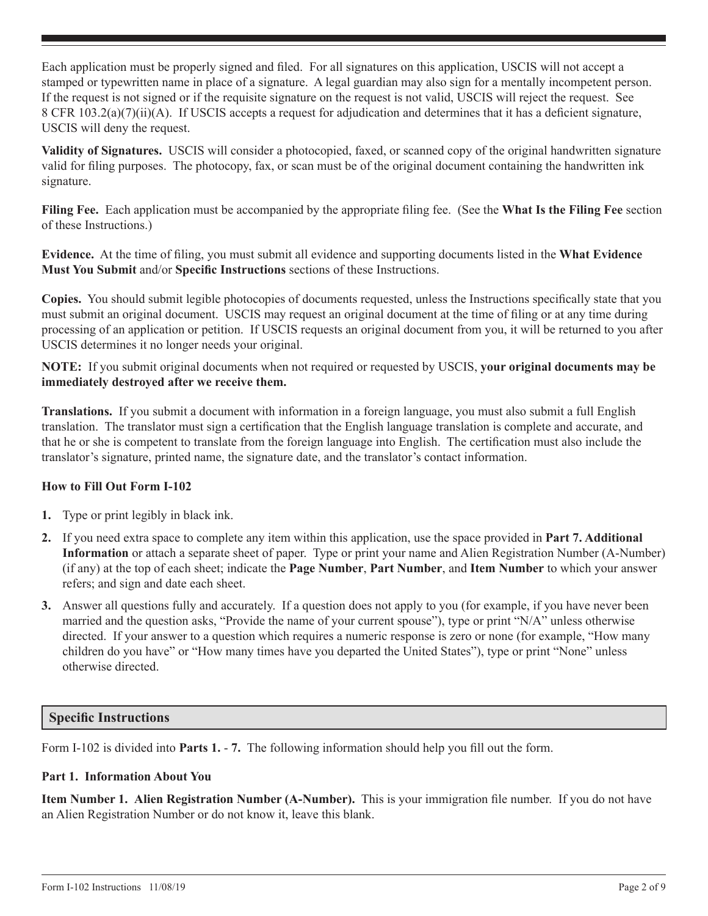Each application must be properly signed and filed. For all signatures on this application, USCIS will not accept a stamped or typewritten name in place of a signature. A legal guardian may also sign for a mentally incompetent person. If the request is not signed or if the requisite signature on the request is not valid, USCIS will reject the request. See 8 CFR 103.2(a)(7)(ii)(A). If USCIS accepts a request for adjudication and determines that it has a deficient signature, USCIS will deny the request.

**Validity of Signatures.** USCIS will consider a photocopied, faxed, or scanned copy of the original handwritten signature valid for filing purposes. The photocopy, fax, or scan must be of the original document containing the handwritten ink signature.

**Filing Fee.** Each application must be accompanied by the appropriate filing fee. (See the **What Is the Filing Fee** section of these Instructions.)

**Evidence.** At the time of filing, you must submit all evidence and supporting documents listed in the **What Evidence Must You Submit** and/or **Specific Instructions** sections of these Instructions.

**Copies.** You should submit legible photocopies of documents requested, unless the Instructions specifically state that you must submit an original document. USCIS may request an original document at the time of filing or at any time during processing of an application or petition. If USCIS requests an original document from you, it will be returned to you after USCIS determines it no longer needs your original.

**NOTE:** If you submit original documents when not required or requested by USCIS, **your original documents may be immediately destroyed after we receive them.**

**Translations.** If you submit a document with information in a foreign language, you must also submit a full English translation. The translator must sign a certification that the English language translation is complete and accurate, and that he or she is competent to translate from the foreign language into English. The certification must also include the translator's signature, printed name, the signature date, and the translator's contact information.

# **How to Fill Out Form I-102**

- **1.** Type or print legibly in black ink.
- **2.** If you need extra space to complete any item within this application, use the space provided in **Part 7. Additional Information** or attach a separate sheet of paper. Type or print your name and Alien Registration Number (A-Number) (if any) at the top of each sheet; indicate the **Page Number**, **Part Number**, and **Item Number** to which your answer refers; and sign and date each sheet.
- **3.** Answer all questions fully and accurately. If a question does not apply to you (for example, if you have never been married and the question asks, "Provide the name of your current spouse"), type or print "N/A" unless otherwise directed. If your answer to a question which requires a numeric response is zero or none (for example, "How many children do you have" or "How many times have you departed the United States"), type or print "None" unless otherwise directed.

# **Specific Instructions**

Form I-102 is divided into **Parts 1.** - **7.** The following information should help you fill out the form.

# **Part 1. Information About You**

**Item Number 1. Alien Registration Number (A-Number).** This is your immigration file number. If you do not have an Alien Registration Number or do not know it, leave this blank.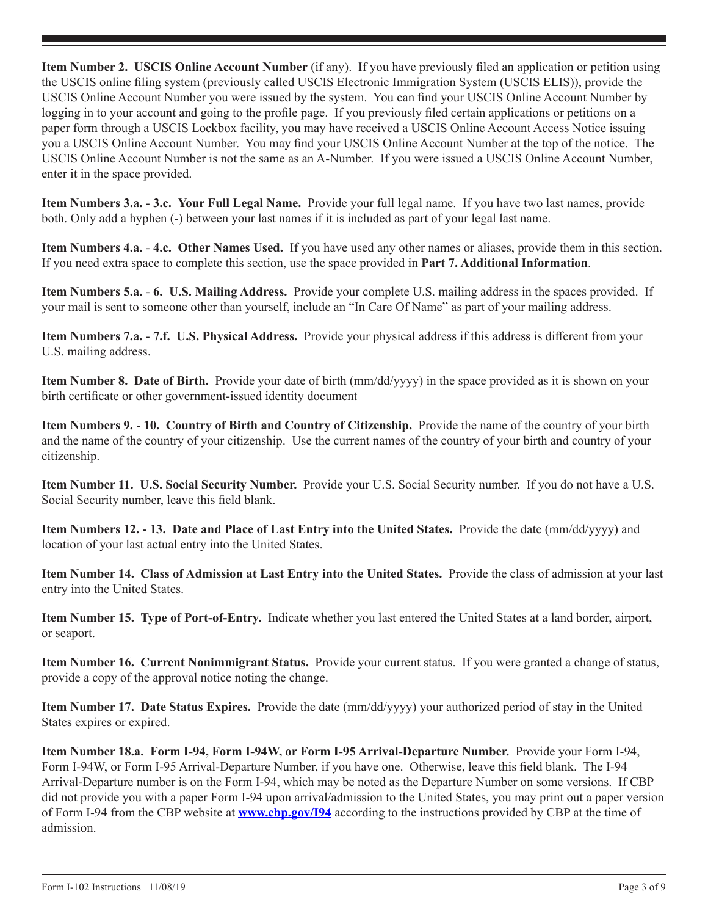**Item Number 2. USCIS Online Account Number** (if any). If you have previously filed an application or petition using the USCIS online filing system (previously called USCIS Electronic Immigration System (USCIS ELIS)), provide the USCIS Online Account Number you were issued by the system. You can find your USCIS Online Account Number by logging in to your account and going to the profile page. If you previously filed certain applications or petitions on a paper form through a USCIS Lockbox facility, you may have received a USCIS Online Account Access Notice issuing you a USCIS Online Account Number. You may find your USCIS Online Account Number at the top of the notice. The USCIS Online Account Number is not the same as an A-Number. If you were issued a USCIS Online Account Number, enter it in the space provided.

**Item Numbers 3.a.** - **3.c. Your Full Legal Name.** Provide your full legal name. If you have two last names, provide both. Only add a hyphen (-) between your last names if it is included as part of your legal last name.

**Item Numbers 4.a.** - **4.c. Other Names Used.** If you have used any other names or aliases, provide them in this section. If you need extra space to complete this section, use the space provided in **Part 7. Additional Information**.

**Item Numbers 5.a.** - **6. U.S. Mailing Address.** Provide your complete U.S. mailing address in the spaces provided. If your mail is sent to someone other than yourself, include an "In Care Of Name" as part of your mailing address.

**Item Numbers 7.a.** - **7.f. U.S. Physical Address.** Provide your physical address if this address is different from your U.S. mailing address.

**Item Number 8. Date of Birth.** Provide your date of birth (mm/dd/yyyy) in the space provided as it is shown on your birth certificate or other government-issued identity document

**Item Numbers 9.** - **10. Country of Birth and Country of Citizenship.** Provide the name of the country of your birth and the name of the country of your citizenship. Use the current names of the country of your birth and country of your citizenship.

**Item Number 11. U.S. Social Security Number.** Provide your U.S. Social Security number. If you do not have a U.S. Social Security number, leave this field blank.

**Item Numbers 12. - 13. Date and Place of Last Entry into the United States.** Provide the date (mm/dd/yyyy) and location of your last actual entry into the United States.

**Item Number 14. Class of Admission at Last Entry into the United States.** Provide the class of admission at your last entry into the United States.

**Item Number 15. Type of Port-of-Entry.** Indicate whether you last entered the United States at a land border, airport, or seaport.

**Item Number 16. Current Nonimmigrant Status.** Provide your current status. If you were granted a change of status, provide a copy of the approval notice noting the change.

**Item Number 17. Date Status Expires.** Provide the date (mm/dd/yyyy) your authorized period of stay in the United States expires or expired.

**Item Number 18.a. Form I-94, Form I-94W, or Form I-95 Arrival-Departure Number.** Provide your Form I-94, Form I-94W, or Form I-95 Arrival-Departure Number, if you have one. Otherwise, leave this field blank. The I-94 Arrival-Departure number is on the Form I-94, which may be noted as the Departure Number on some versions. If CBP did not provide you with a paper Form I-94 upon arrival/admission to the United States, you may print out a paper version of Form I-94 from the CBP website at **www.cbp.gov/I94** according to the instructions provided by CBP at the time of admission.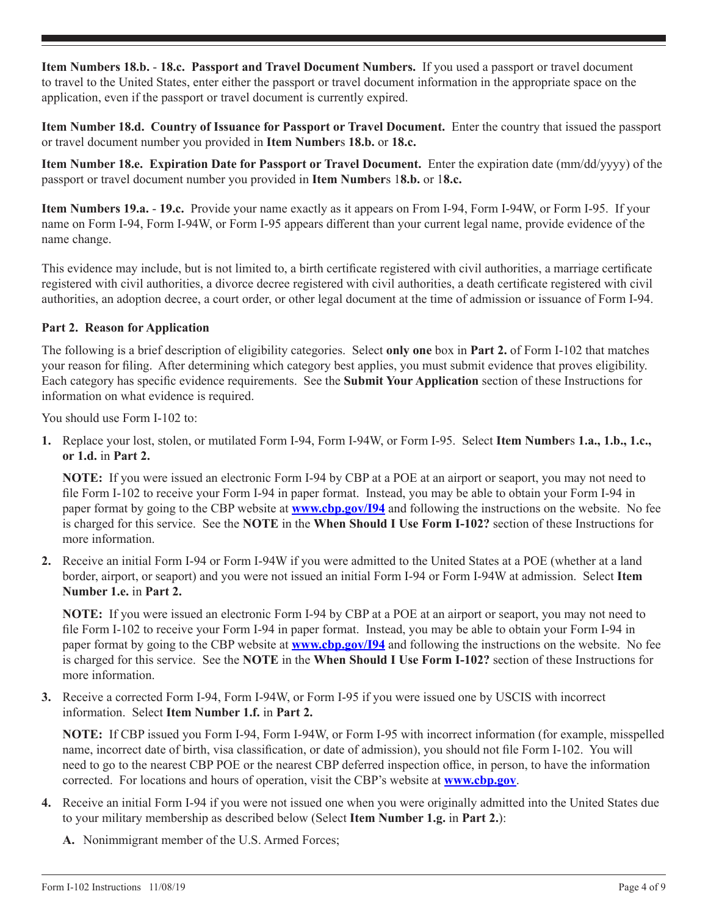**Item Numbers 18.b.** - **18.c. Passport and Travel Document Numbers.** If you used a passport or travel document to travel to the United States, enter either the passport or travel document information in the appropriate space on the application, even if the passport or travel document is currently expired.

**Item Number 18.d. Country of Issuance for Passport or Travel Document.** Enter the country that issued the passport or travel document number you provided in **Item Number**s **18.b.** or **18.c.**

**Item Number 18.e. Expiration Date for Passport or Travel Document.** Enter the expiration date (mm/dd/yyyy) of the passport or travel document number you provided in **Item Number**s 1**8.b.** or 1**8.c.**

**Item Numbers 19.a.** - **19.c.** Provide your name exactly as it appears on From I-94, Form I-94W, or Form I-95. If your name on Form I-94, Form I-94W, or Form I-95 appears different than your current legal name, provide evidence of the name change.

This evidence may include, but is not limited to, a birth certificate registered with civil authorities, a marriage certificate registered with civil authorities, a divorce decree registered with civil authorities, a death certificate registered with civil authorities, an adoption decree, a court order, or other legal document at the time of admission or issuance of Form I-94.

# **Part 2. Reason for Application**

The following is a brief description of eligibility categories. Select **only one** box in **Part 2.** of Form I-102 that matches your reason for filing. After determining which category best applies, you must submit evidence that proves eligibility. Each category has specific evidence requirements. See the **Submit Your Application** section of these Instructions for information on what evidence is required.

You should use Form I-102 to:

**1.** Replace your lost, stolen, or mutilated Form I-94, Form I-94W, or Form I-95. Select **Item Number**s **1.a., 1.b., 1.c., or 1.d.** in **Part 2.**

**NOTE:** If you were issued an electronic Form I-94 by CBP at a POE at an airport or seaport, you may not need to file Form I-102 to receive your Form I-94 in paper format. Instead, you may be able to obtain your Form I-94 in paper format by going to the CBP website at **www.cbp.gov/I94** and following the instructions on the website. No fee is charged for this service. See the **NOTE** in the **When Should I Use Form I-102?** section of these Instructions for more information.

**2.** Receive an initial Form I-94 or Form I-94W if you were admitted to the United States at a POE (whether at a land border, airport, or seaport) and you were not issued an initial Form I-94 or Form I-94W at admission. Select **Item Number 1.e.** in **Part 2.**

**NOTE:** If you were issued an electronic Form I-94 by CBP at a POE at an airport or seaport, you may not need to file Form I-102 to receive your Form I-94 in paper format. Instead, you may be able to obtain your Form I-94 in paper format by going to the CBP website at **www.cbp.gov/I94** and following the instructions on the website. No fee is charged for this service. See the **NOTE** in the **When Should I Use Form I-102?** section of these Instructions for more information.

**3.** Receive a corrected Form I-94, Form I-94W, or Form I-95 if you were issued one by USCIS with incorrect information. Select **Item Number 1.f.** in **Part 2.**

**NOTE:** If CBP issued you Form I-94, Form I-94W, or Form I-95 with incorrect information (for example, misspelled name, incorrect date of birth, visa classification, or date of admission), you should not file Form I-102. You will need to go to the nearest CBP POE or the nearest CBP deferred inspection office, in person, to have the information corrected. For locations and hours of operation, visit the CBP's website at **www.cbp.gov**.

- **4.** Receive an initial Form I-94 if you were not issued one when you were originally admitted into the United States due to your military membership as described below (Select **Item Number 1.g.** in **Part 2.**):
	- **A.** Nonimmigrant member of the U.S. Armed Forces;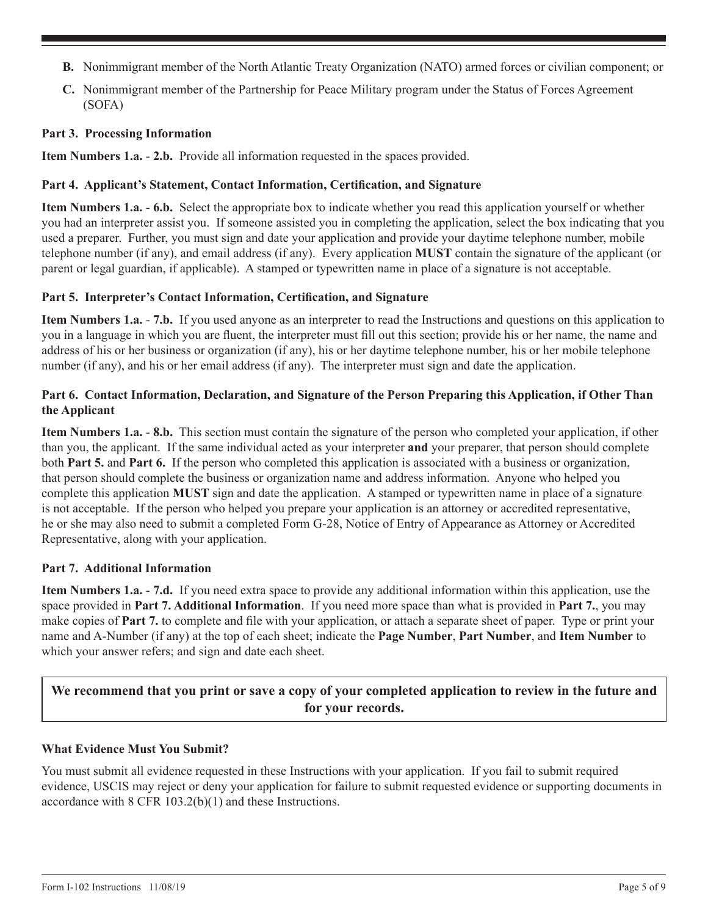- **B.** Nonimmigrant member of the North Atlantic Treaty Organization (NATO) armed forces or civilian component; or
- **C.** Nonimmigrant member of the Partnership for Peace Military program under the Status of Forces Agreement (SOFA)

## **Part 3. Processing Information**

**Item Numbers 1.a.** - **2.b.** Provide all information requested in the spaces provided.

## **Part 4. Applicant's Statement, Contact Information, Certification, and Signature**

**Item Numbers 1.a.** - **6.b.** Select the appropriate box to indicate whether you read this application yourself or whether you had an interpreter assist you. If someone assisted you in completing the application, select the box indicating that you used a preparer. Further, you must sign and date your application and provide your daytime telephone number, mobile telephone number (if any), and email address (if any). Every application **MUST** contain the signature of the applicant (or parent or legal guardian, if applicable). A stamped or typewritten name in place of a signature is not acceptable.

#### **Part 5. Interpreter's Contact Information, Certification, and Signature**

**Item Numbers 1.a.** - **7.b.** If you used anyone as an interpreter to read the Instructions and questions on this application to you in a language in which you are fluent, the interpreter must fill out this section; provide his or her name, the name and address of his or her business or organization (if any), his or her daytime telephone number, his or her mobile telephone number (if any), and his or her email address (if any). The interpreter must sign and date the application.

## **Part 6. Contact Information, Declaration, and Signature of the Person Preparing this Application, if Other Than the Applicant**

**Item Numbers 1.a.** - **8.b.** This section must contain the signature of the person who completed your application, if other than you, the applicant. If the same individual acted as your interpreter **and** your preparer, that person should complete both **Part 5.** and **Part 6.** If the person who completed this application is associated with a business or organization, that person should complete the business or organization name and address information. Anyone who helped you complete this application **MUST** sign and date the application. A stamped or typewritten name in place of a signature is not acceptable. If the person who helped you prepare your application is an attorney or accredited representative, he or she may also need to submit a completed Form G-28, Notice of Entry of Appearance as Attorney or Accredited Representative, along with your application.

#### **Part 7. Additional Information**

**Item Numbers 1.a.** - **7.d.** If you need extra space to provide any additional information within this application, use the space provided in **Part 7. Additional Information**. If you need more space than what is provided in **Part 7.**, you may make copies of **Part 7.** to complete and file with your application, or attach a separate sheet of paper. Type or print your name and A-Number (if any) at the top of each sheet; indicate the **Page Number**, **Part Number**, and **Item Number** to which your answer refers; and sign and date each sheet.

# **We recommend that you print or save a copy of your completed application to review in the future and for your records.**

#### **What Evidence Must You Submit?**

You must submit all evidence requested in these Instructions with your application. If you fail to submit required evidence, USCIS may reject or deny your application for failure to submit requested evidence or supporting documents in accordance with 8 CFR 103.2(b)(1) and these Instructions.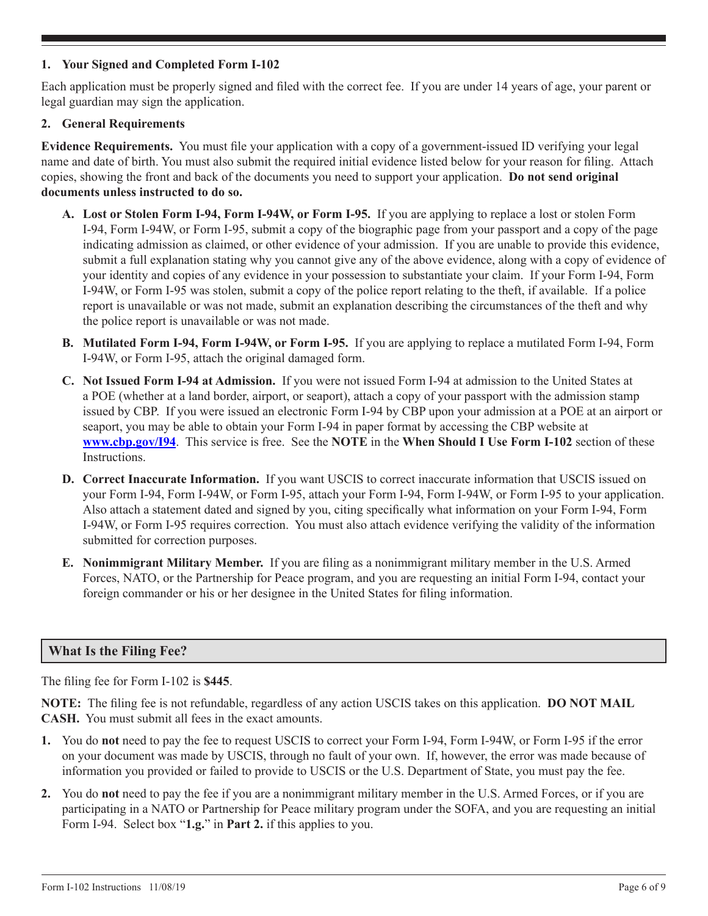## **1. Your Signed and Completed Form I-102**

Each application must be properly signed and filed with the correct fee. If you are under 14 years of age, your parent or legal guardian may sign the application.

## **2. General Requirements**

**Evidence Requirements.** You must file your application with a copy of a government-issued ID verifying your legal name and date of birth. You must also submit the required initial evidence listed below for your reason for filing. Attach copies, showing the front and back of the documents you need to support your application. **Do not send original documents unless instructed to do so.**

- **A. Lost or Stolen Form I-94, Form I-94W, or Form I-95.** If you are applying to replace a lost or stolen Form I-94, Form I-94W, or Form I-95, submit a copy of the biographic page from your passport and a copy of the page indicating admission as claimed, or other evidence of your admission. If you are unable to provide this evidence, submit a full explanation stating why you cannot give any of the above evidence, along with a copy of evidence of your identity and copies of any evidence in your possession to substantiate your claim. If your Form I-94, Form I-94W, or Form I-95 was stolen, submit a copy of the police report relating to the theft, if available. If a police report is unavailable or was not made, submit an explanation describing the circumstances of the theft and why the police report is unavailable or was not made.
- **B. Mutilated Form I-94, Form I-94W, or Form I-95.** If you are applying to replace a mutilated Form I-94, Form I-94W, or Form I-95, attach the original damaged form.
- **C. Not Issued Form I-94 at Admission.** If you were not issued Form I-94 at admission to the United States at a POE (whether at a land border, airport, or seaport), attach a copy of your passport with the admission stamp issued by CBP. If you were issued an electronic Form I-94 by CBP upon your admission at a POE at an airport or seaport, you may be able to obtain your Form I-94 in paper format by accessing the CBP website at **www.cbp.gov/I94**. This service is free. See the **NOTE** in the **When Should I Use Form I-102** section of these Instructions.
- **D. Correct Inaccurate Information.** If you want USCIS to correct inaccurate information that USCIS issued on your Form I-94, Form I-94W, or Form I-95, attach your Form I-94, Form I-94W, or Form I-95 to your application. Also attach a statement dated and signed by you, citing specifically what information on your Form I-94, Form I-94W, or Form I-95 requires correction. You must also attach evidence verifying the validity of the information submitted for correction purposes.
- **E. Nonimmigrant Military Member.** If you are filing as a nonimmigrant military member in the U.S. Armed Forces, NATO, or the Partnership for Peace program, and you are requesting an initial Form I-94, contact your foreign commander or his or her designee in the United States for filing information.

# **What Is the Filing Fee?**

The filing fee for Form I-102 is **\$445**.

**NOTE:** The filing fee is not refundable, regardless of any action USCIS takes on this application. **DO NOT MAIL CASH.** You must submit all fees in the exact amounts.

- **1.** You do **not** need to pay the fee to request USCIS to correct your Form I-94, Form I-94W, or Form I-95 if the error on your document was made by USCIS, through no fault of your own. If, however, the error was made because of information you provided or failed to provide to USCIS or the U.S. Department of State, you must pay the fee.
- **2.** You do **not** need to pay the fee if you are a nonimmigrant military member in the U.S. Armed Forces, or if you are participating in a NATO or Partnership for Peace military program under the SOFA, and you are requesting an initial Form I-94. Select box "**1.g.**" in **Part 2.** if this applies to you.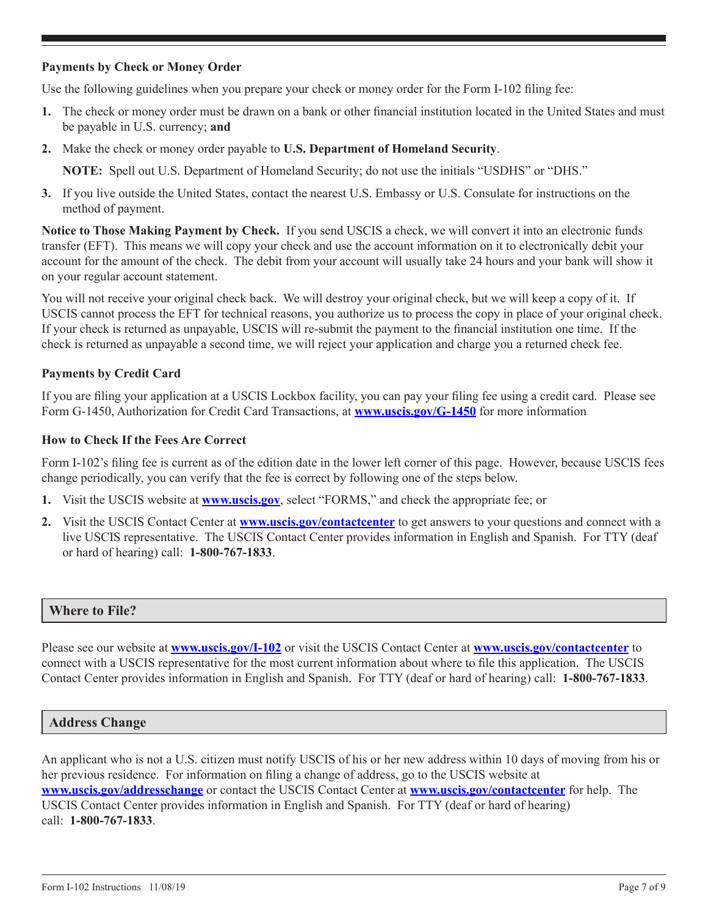## **Payments by Check or Money Order**

Use the following guidelines when you prepare your check or money order for the Form I-102 filing fee:

- **1.** The check or money order must be drawn on a bank or other financial institution located in the United States and must be payable in U.S. currency; **and**
- **2.** Make the check or money order payable to **U.S. Department of Homeland Security**.

**NOTE:** Spell out U.S. Department of Homeland Security; do not use the initials "USDHS" or "DHS."

**3.** If you live outside the United States, contact the nearest U.S. Embassy or U.S. Consulate for instructions on the method of payment.

**Notice to Those Making Payment by Check.** If you send USCIS a check, we will convert it into an electronic funds transfer (EFT). This means we will copy your check and use the account information on it to electronically debit your account for the amount of the check. The debit from your account will usually take 24 hours and your bank will show it on your regular account statement.

You will not receive your original check back. We will destroy your original check, but we will keep a copy of it. If USCIS cannot process the EFT for technical reasons, you authorize us to process the copy in place of your original check. If your check is returned as unpayable, USCIS will re-submit the payment to the financial institution one time. If the check is returned as unpayable a second time, we will reject your application and charge you a returned check fee.

## **Payments by Credit Card**

If you are filing your application at a USCIS Lockbox facility, you can pay your filing fee using a credit card. Please see Form G-1450, Authorization for Credit Card Transactions, at **www.uscis.gov/G-1450** for more information

#### **How to Check If the Fees Are Correct**

Form I-102's filing fee is current as of the edition date in the lower left corner of this page. However, because USCIS fees change periodically, you can verify that the fee is correct by following one of the steps below.

- **1.** Visit the USCIS website at **www.uscis.gov**, select "FORMS," and check the appropriate fee; or
- **2.** Visit the USCIS Contact Center at **www.uscis.gov/contactcenter** to get answers to your questions and connect with a live USCIS representative. The USCIS Contact Center provides information in English and Spanish. For TTY (deaf or hard of hearing) call: **1-800-767-1833**.

#### **Where to File?**

Please see our website at **www.uscis.gov/I-102** or visit the USCIS Contact Center at **www.uscis.gov/contactcenter** to connect with a USCIS representative for the most current information about where to file this application. The USCIS Contact Center provides information in English and Spanish. For TTY (deaf or hard of hearing) call: **1-800-767-1833**.

#### **Address Change**

An applicant who is not a U.S. citizen must notify USCIS of his or her new address within 10 days of moving from his or her previous residence. For information on filing a change of address, go to the USCIS website at **www.uscis.gov/addresschange** or contact the USCIS Contact Center at **www.uscis.gov/contactcenter** for help. The USCIS Contact Center provides information in English and Spanish. For TTY (deaf or hard of hearing) call: **1-800-767-1833**.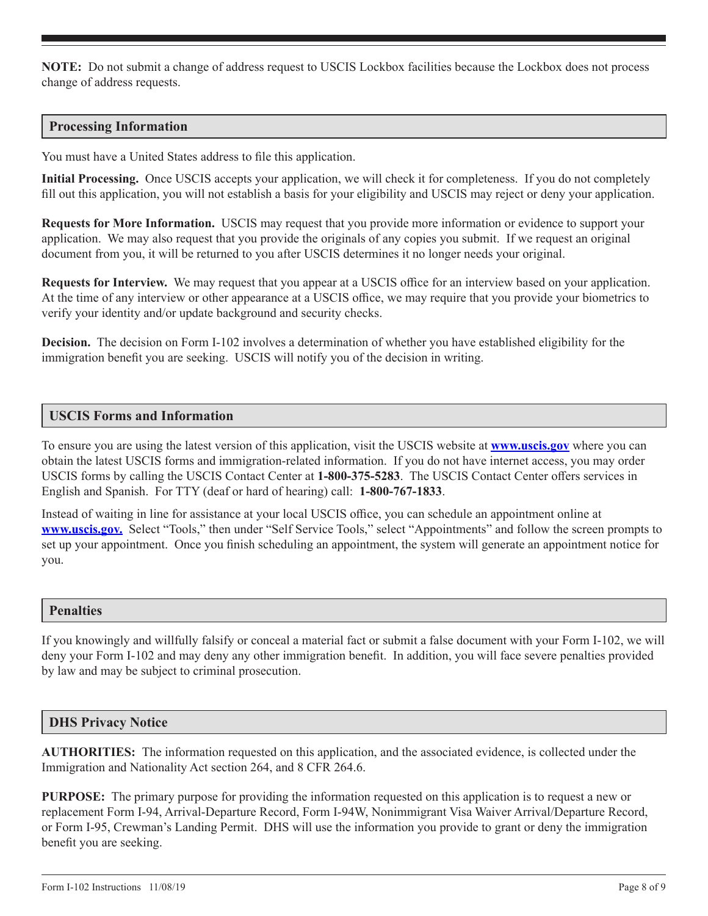**NOTE:** Do not submit a change of address request to USCIS Lockbox facilities because the Lockbox does not process change of address requests.

## **Processing Information**

You must have a United States address to file this application.

**Initial Processing.** Once USCIS accepts your application, we will check it for completeness. If you do not completely fill out this application, you will not establish a basis for your eligibility and USCIS may reject or deny your application.

**Requests for More Information.** USCIS may request that you provide more information or evidence to support your application. We may also request that you provide the originals of any copies you submit. If we request an original document from you, it will be returned to you after USCIS determines it no longer needs your original.

**Requests for Interview.** We may request that you appear at a USCIS office for an interview based on your application. At the time of any interview or other appearance at a USCIS office, we may require that you provide your biometrics to verify your identity and/or update background and security checks.

**Decision.** The decision on Form I-102 involves a determination of whether you have established eligibility for the immigration benefit you are seeking. USCIS will notify you of the decision in writing.

#### **USCIS Forms and Information**

To ensure you are using the latest version of this application, visit the USCIS website at **www.uscis.gov** where you can obtain the latest USCIS forms and immigration-related information. If you do not have internet access, you may order USCIS forms by calling the USCIS Contact Center at **1-800-375-5283**. The USCIS Contact Center offers services in English and Spanish. For TTY (deaf or hard of hearing) call: **1-800-767-1833**.

Instead of waiting in line for assistance at your local USCIS office, you can schedule an appointment online at **www.uscis.gov.** Select "Tools," then under "Self Service Tools," select "Appointments" and follow the screen prompts to set up your appointment. Once you finish scheduling an appointment, the system will generate an appointment notice for you.

#### **Penalties**

If you knowingly and willfully falsify or conceal a material fact or submit a false document with your Form I-102, we will deny your Form I-102 and may deny any other immigration benefit. In addition, you will face severe penalties provided by law and may be subject to criminal prosecution.

#### **DHS Privacy Notice**

**AUTHORITIES:** The information requested on this application, and the associated evidence, is collected under the Immigration and Nationality Act section 264, and 8 CFR 264.6.

**PURPOSE:** The primary purpose for providing the information requested on this application is to request a new or replacement Form I-94, Arrival-Departure Record, Form I-94W, Nonimmigrant Visa Waiver Arrival/Departure Record, or Form I-95, Crewman's Landing Permit. DHS will use the information you provide to grant or deny the immigration benefit you are seeking.